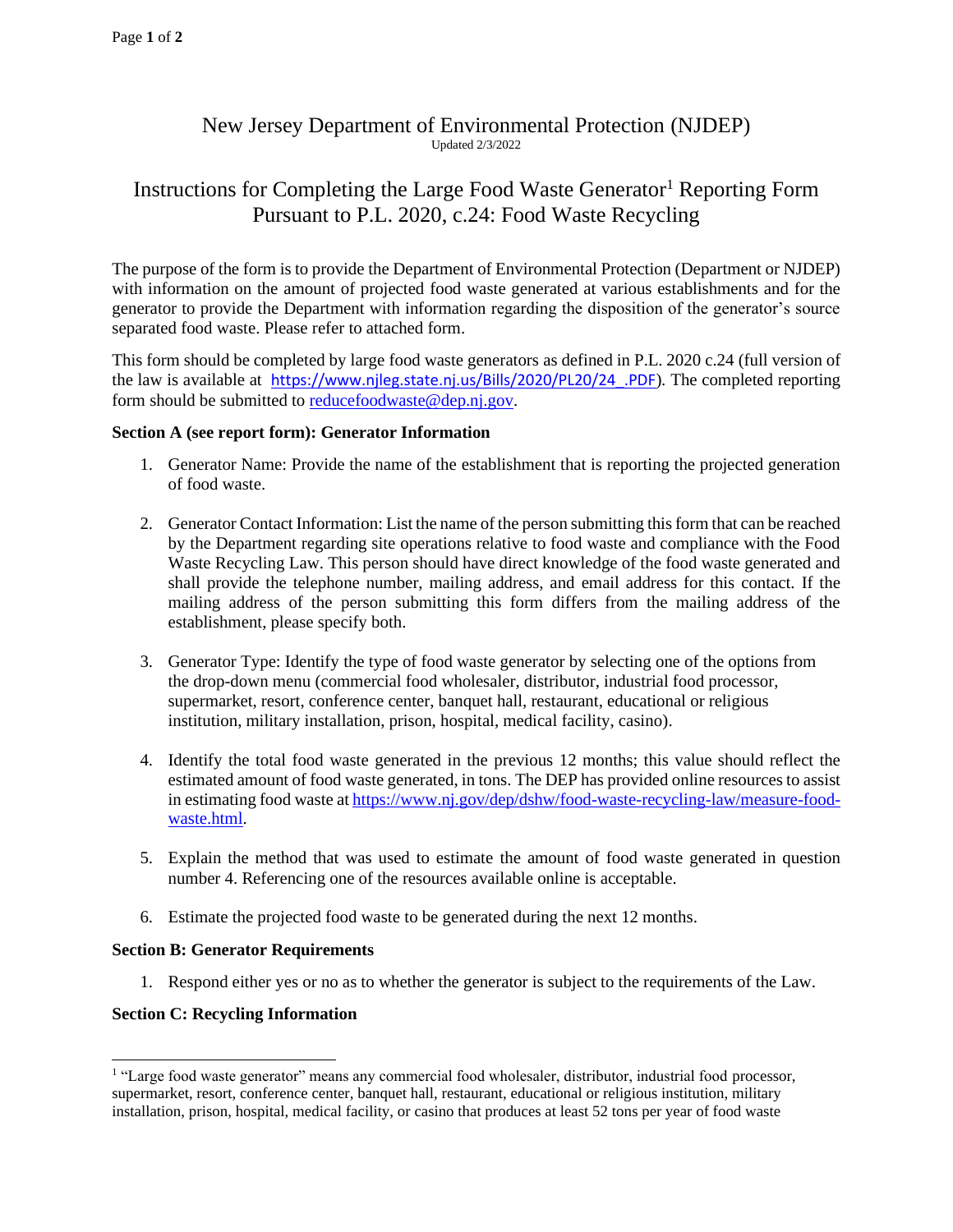## New Jersey Department of Environmental Protection (NJDEP) Updated 2/3/2022

# Instructions for Completing the Large Food Waste Generator<sup>1</sup> Reporting Form Pursuant to P.L. 2020, c.24: Food Waste Recycling

The purpose of the form is to provide the Department of Environmental Protection (Department or NJDEP) with information on the amount of projected food waste generated at various establishments and for the generator to provide the Department with information regarding the disposition of the generator's source separated food waste. Please refer to attached form.

This form should be completed by large food waste generators as defined in P.L. 2020 c.24 (full version of the law is available at [https://www.njleg.state.nj.us/Bills/2020/PL20/24\\_.PDF](https://www.njleg.state.nj.us/Bills/2020/PL20/24_.PDF))*.* The completed reporting form should be submitted to [reducefoodwaste@dep.nj.gov.](mailto:reducefoodwaste@dep.nj.gov)

#### **Section A (see report form): Generator Information**

- 1. Generator Name: Provide the name of the establishment that is reporting the projected generation of food waste.
- 2. Generator Contact Information: List the name of the person submitting this form that can be reached by the Department regarding site operations relative to food waste and compliance with the Food Waste Recycling Law. This person should have direct knowledge of the food waste generated and shall provide the telephone number, mailing address, and email address for this contact. If the mailing address of the person submitting this form differs from the mailing address of the establishment, please specify both.
- 3. Generator Type: Identify the type of food waste generator by selecting one of the options from the drop-down menu (commercial food wholesaler, distributor, industrial food processor, supermarket, resort, conference center, banquet hall, restaurant, educational or religious institution, military installation, prison, hospital, medical facility, casino).
- 4. Identify the total food waste generated in the previous 12 months; this value should reflect the estimated amount of food waste generated, in tons. The DEP has provided online resources to assist in estimating food waste a[t https://www.nj.gov/dep/dshw/food-waste-recycling-law/measure-food](https://www.nj.gov/dep/dshw/food-waste-recycling-law/measure-food-waste.html)[waste.html.](https://www.nj.gov/dep/dshw/food-waste-recycling-law/measure-food-waste.html)
- 5. Explain the method that was used to estimate the amount of food waste generated in question number 4. Referencing one of the resources available online is acceptable.
- 6. Estimate the projected food waste to be generated during the next 12 months.

#### **Section B: Generator Requirements**

1. Respond either yes or no as to whether the generator is subject to the requirements of the Law.

### **Section C: Recycling Information**

<sup>&</sup>lt;sup>1</sup> "Large food waste generator" means any commercial food wholesaler, distributor, industrial food processor, supermarket, resort, conference center, banquet hall, restaurant, educational or religious institution, military installation, prison, hospital, medical facility, or casino that produces at least 52 tons per year of food waste